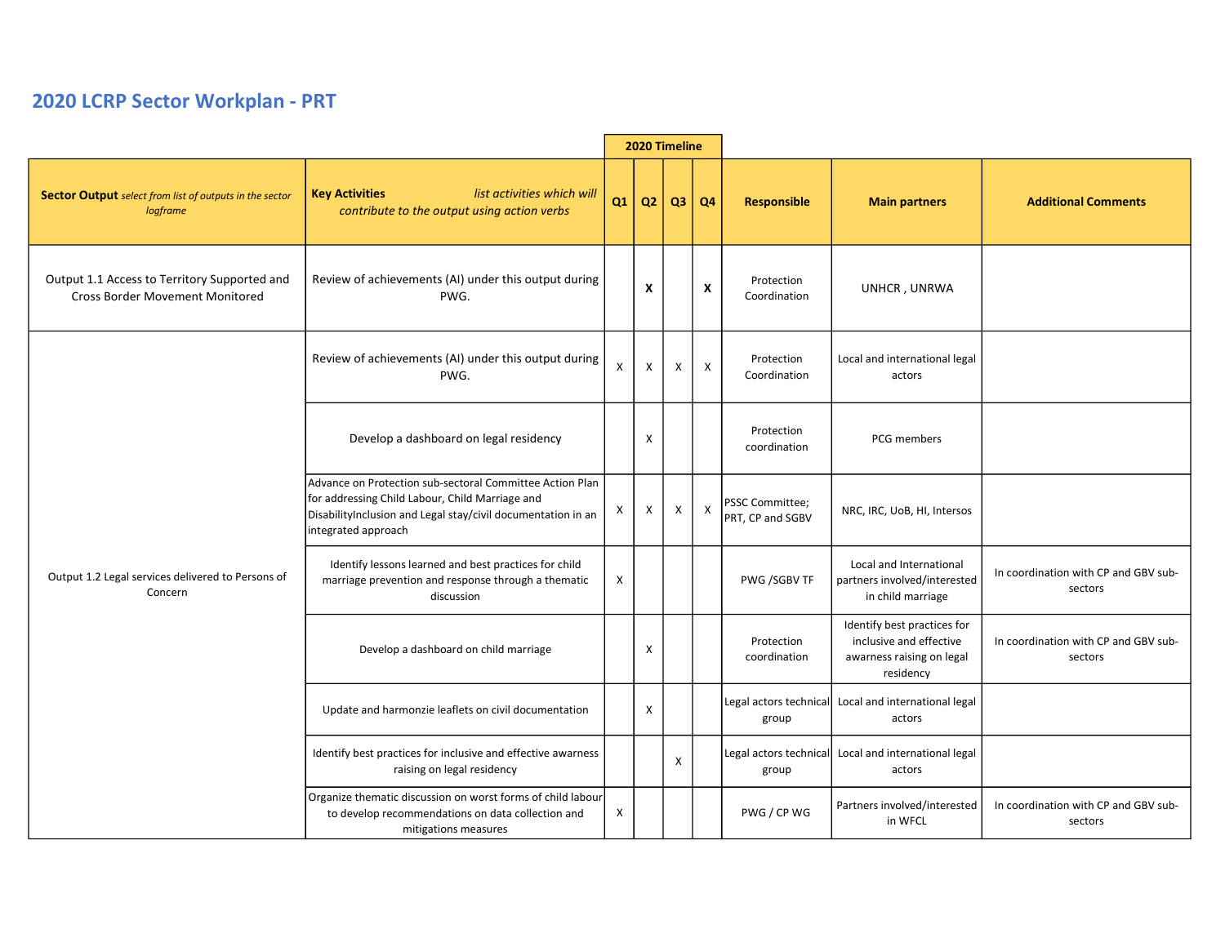## 2020 LCRP Sector Workplan - PRT

|                                                                                        |                                                                                                                                                                                                    | 2020 Timeline |                           |    |                |                                     |                                                                                                  |                                                 |
|----------------------------------------------------------------------------------------|----------------------------------------------------------------------------------------------------------------------------------------------------------------------------------------------------|---------------|---------------------------|----|----------------|-------------------------------------|--------------------------------------------------------------------------------------------------|-------------------------------------------------|
| <b>Sector Output</b> select from list of outputs in the sector<br>logframe             | <b>Key Activities</b><br>list activities which will<br>contribute to the output using action verbs                                                                                                 | Q1            | Q <sub>2</sub>            | Q3 | Q <sub>4</sub> | <b>Responsible</b>                  | <b>Main partners</b>                                                                             | <b>Additional Comments</b>                      |
| Output 1.1 Access to Territory Supported and<br><b>Cross Border Movement Monitored</b> | Review of achievements (AI) under this output during<br>PWG.                                                                                                                                       |               | $\boldsymbol{\mathsf{x}}$ |    | X              | Protection<br>Coordination          | UNHCR, UNRWA                                                                                     |                                                 |
| Output 1.2 Legal services delivered to Persons of<br>Concern                           | Review of achievements (AI) under this output during<br>PWG.                                                                                                                                       | $\pmb{\chi}$  | X                         | Χ  | X              | Protection<br>Coordination          | Local and international legal<br>actors                                                          |                                                 |
|                                                                                        | Develop a dashboard on legal residency                                                                                                                                                             |               | X                         |    |                | Protection<br>coordination          | PCG members                                                                                      |                                                 |
|                                                                                        | Advance on Protection sub-sectoral Committee Action Plan<br>for addressing Child Labour, Child Marriage and<br>DisabilityInclusion and Legal stay/civil documentation in an<br>integrated approach | х             | Χ                         | Х  | X              | PSSC Committee;<br>PRT, CP and SGBV | NRC, IRC, UoB, HI, Intersos                                                                      |                                                 |
|                                                                                        | Identify lessons learned and best practices for child<br>marriage prevention and response through a thematic<br>discussion                                                                         | X             |                           |    |                | PWG /SGBV TF                        | Local and International<br>partners involved/interested<br>in child marriage                     | In coordination with CP and GBV sub-<br>sectors |
|                                                                                        | Develop a dashboard on child marriage                                                                                                                                                              |               | X                         |    |                | Protection<br>coordination          | Identify best practices for<br>inclusive and effective<br>awarness raising on legal<br>residency | In coordination with CP and GBV sub-<br>sectors |
|                                                                                        | Update and harmonzie leaflets on civil documentation                                                                                                                                               |               | $\mathsf{x}$              |    |                | Legal actors technical<br>group     | Local and international legal<br>actors                                                          |                                                 |
|                                                                                        | Identify best practices for inclusive and effective awarness<br>raising on legal residency                                                                                                         |               |                           | X  |                | group                               | Legal actors technical Local and international legal<br>actors                                   |                                                 |
|                                                                                        | Organize thematic discussion on worst forms of child labour<br>to develop recommendations on data collection and<br>mitigations measures                                                           | X             |                           |    |                | PWG / CP WG                         | Partners involved/interested<br>in WFCL                                                          | In coordination with CP and GBV sub-<br>sectors |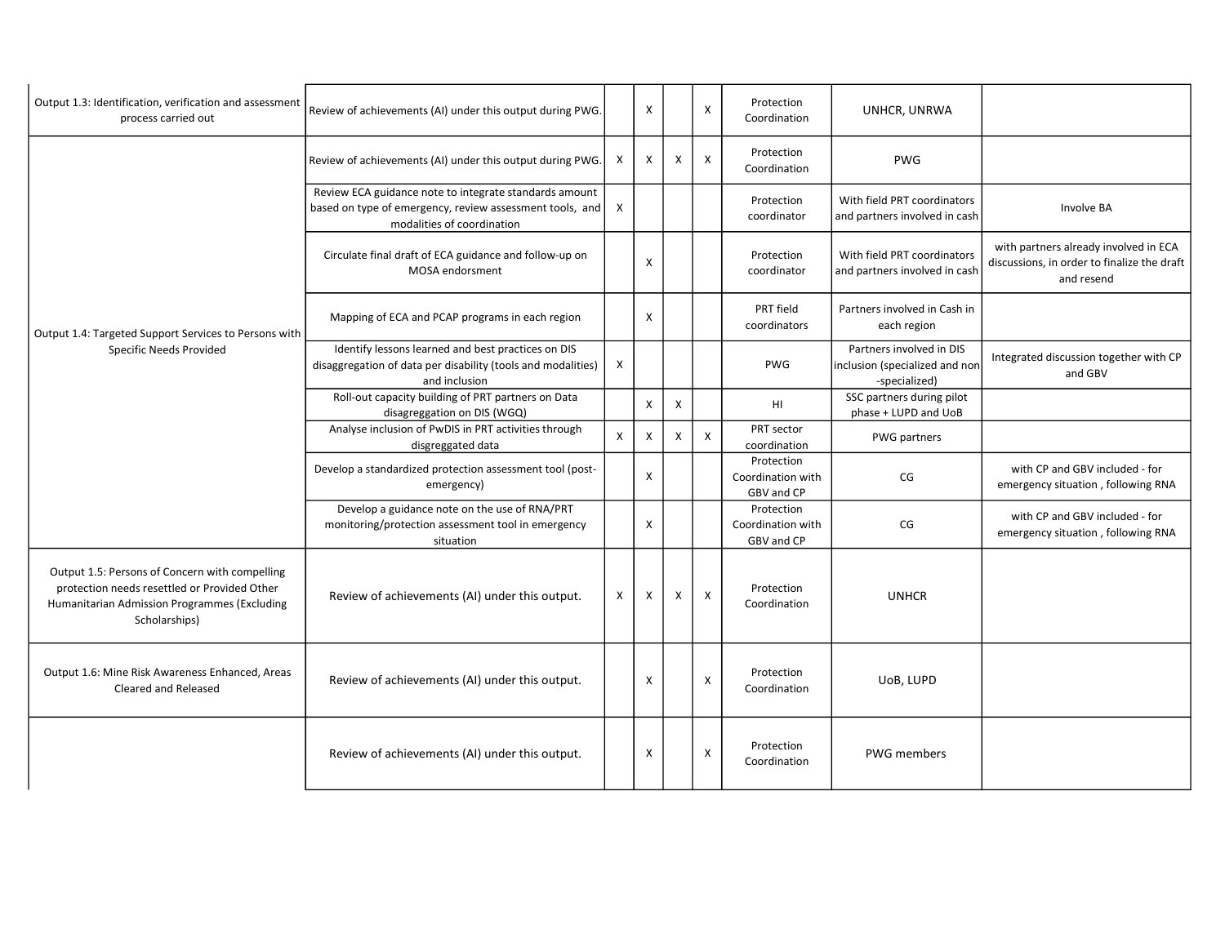| Output 1.3: Identification, verification and assessment<br>process carried out                                                                                  | Review of achievements (AI) under this output during PWG.                                                                                        |   | $\boldsymbol{\mathsf{X}}$ |                           | $\mathsf{x}$              | Protection<br>Coordination                    | UNHCR, UNRWA                                                                |                                                                                                    |
|-----------------------------------------------------------------------------------------------------------------------------------------------------------------|--------------------------------------------------------------------------------------------------------------------------------------------------|---|---------------------------|---------------------------|---------------------------|-----------------------------------------------|-----------------------------------------------------------------------------|----------------------------------------------------------------------------------------------------|
| Output 1.4: Targeted Support Services to Persons with<br>Specific Needs Provided                                                                                | Review of achievements (AI) under this output during PWG.                                                                                        | Χ | $\mathsf{x}$              | X                         | $\boldsymbol{\mathsf{X}}$ | Protection<br>Coordination                    | <b>PWG</b>                                                                  |                                                                                                    |
|                                                                                                                                                                 | Review ECA guidance note to integrate standards amount<br>based on type of emergency, review assessment tools, and<br>modalities of coordination | X |                           |                           |                           | Protection<br>coordinator                     | With field PRT coordinators<br>and partners involved in cash                | Involve BA                                                                                         |
|                                                                                                                                                                 | Circulate final draft of ECA guidance and follow-up on<br>MOSA endorsment                                                                        |   | X                         |                           |                           | Protection<br>coordinator                     | With field PRT coordinators<br>and partners involved in cash                | with partners already involved in ECA<br>discussions, in order to finalize the draft<br>and resend |
|                                                                                                                                                                 | Mapping of ECA and PCAP programs in each region                                                                                                  |   | X                         |                           |                           | PRT field<br>coordinators                     | Partners involved in Cash in<br>each region                                 |                                                                                                    |
|                                                                                                                                                                 | Identify lessons learned and best practices on DIS<br>disaggregation of data per disability (tools and modalities)<br>and inclusion              | X |                           |                           |                           | <b>PWG</b>                                    | Partners involved in DIS<br>inclusion (specialized and non<br>-specialized) | Integrated discussion together with CP<br>and GBV                                                  |
|                                                                                                                                                                 | Roll-out capacity building of PRT partners on Data<br>disagreggation on DIS (WGQ)                                                                |   | $\mathsf{X}$              | $\boldsymbol{\mathsf{X}}$ |                           | HI                                            | SSC partners during pilot<br>phase + LUPD and UoB                           |                                                                                                    |
|                                                                                                                                                                 | Analyse inclusion of PwDIS in PRT activities through<br>disgreggated data                                                                        | X | X                         | X                         | $\mathsf{X}$              | PRT sector<br>coordination                    | PWG partners                                                                |                                                                                                    |
|                                                                                                                                                                 | Develop a standardized protection assessment tool (post-<br>emergency)                                                                           |   | $\mathsf{x}$              |                           |                           | Protection<br>Coordination with<br>GBV and CP | CG                                                                          | with CP and GBV included - for<br>emergency situation, following RNA                               |
|                                                                                                                                                                 | Develop a guidance note on the use of RNA/PRT<br>monitoring/protection assessment tool in emergency<br>situation                                 |   | X                         |                           |                           | Protection<br>Coordination with<br>GBV and CP | CG                                                                          | with CP and GBV included - for<br>emergency situation, following RNA                               |
| Output 1.5: Persons of Concern with compelling<br>protection needs resettled or Provided Other<br>Humanitarian Admission Programmes (Excluding<br>Scholarships) | Review of achievements (AI) under this output.                                                                                                   | X | X                         | x                         | $\boldsymbol{\mathsf{X}}$ | Protection<br>Coordination                    | <b>UNHCR</b>                                                                |                                                                                                    |
| Output 1.6: Mine Risk Awareness Enhanced, Areas<br>Cleared and Released                                                                                         | Review of achievements (AI) under this output.                                                                                                   |   | $\boldsymbol{\mathsf{X}}$ |                           | $\pmb{\chi}$              | Protection<br>Coordination                    | UoB, LUPD                                                                   |                                                                                                    |
|                                                                                                                                                                 | Review of achievements (AI) under this output.                                                                                                   |   | $\boldsymbol{\mathsf{X}}$ |                           | $\pmb{\times}$            | Protection<br>Coordination                    | <b>PWG</b> members                                                          |                                                                                                    |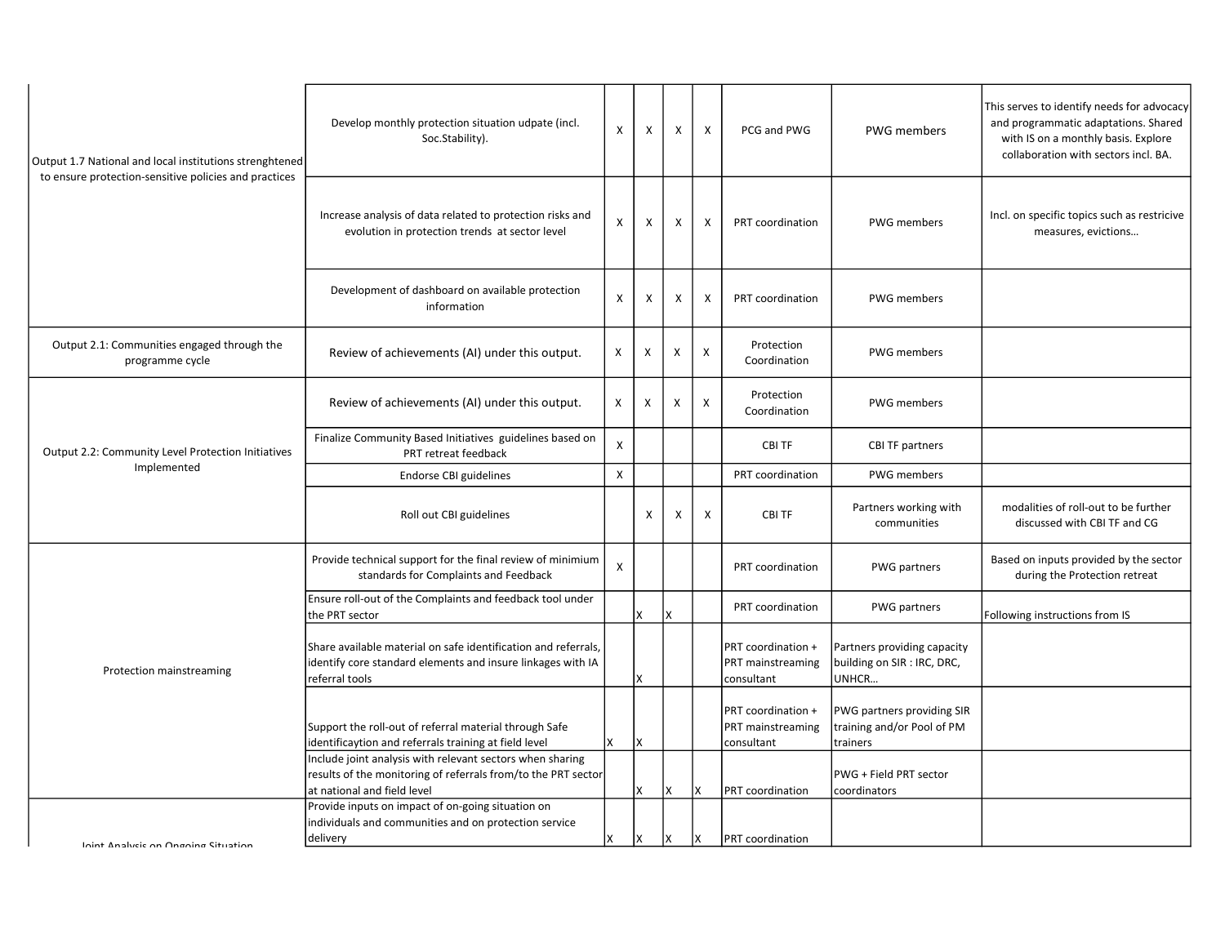| Output 1.7 National and local institutions strenghtened<br>to ensure protection-sensitive policies and practices | Develop monthly protection situation udpate (incl.<br>Soc.Stability).                                                                                     | X | X            | X   | X            | PCG and PWG                                           | PWG members                                                          | This serves to identify needs for advocacy<br>and programmatic adaptations. Shared<br>with IS on a monthly basis. Explore<br>collaboration with sectors incl. BA. |
|------------------------------------------------------------------------------------------------------------------|-----------------------------------------------------------------------------------------------------------------------------------------------------------|---|--------------|-----|--------------|-------------------------------------------------------|----------------------------------------------------------------------|-------------------------------------------------------------------------------------------------------------------------------------------------------------------|
|                                                                                                                  | Increase analysis of data related to protection risks and<br>evolution in protection trends at sector level                                               | X | $\mathsf{x}$ | Χ   | $\mathsf{x}$ | PRT coordination                                      | <b>PWG</b> members                                                   | Incl. on specific topics such as restricive<br>measures, evictions                                                                                                |
|                                                                                                                  | Development of dashboard on available protection<br>information                                                                                           | X | X            | X   | X            | PRT coordination                                      | <b>PWG</b> members                                                   |                                                                                                                                                                   |
| Output 2.1: Communities engaged through the<br>programme cycle                                                   | Review of achievements (AI) under this output.                                                                                                            | X | X            | X   | X            | Protection<br>Coordination                            | <b>PWG</b> members                                                   |                                                                                                                                                                   |
|                                                                                                                  | Review of achievements (AI) under this output.                                                                                                            | X | X            | X   | X            | Protection<br>Coordination                            | <b>PWG</b> members                                                   |                                                                                                                                                                   |
| Output 2.2: Community Level Protection Initiatives                                                               | Finalize Community Based Initiatives guidelines based on<br>PRT retreat feedback                                                                          | X |              |     |              | CBI TF                                                | <b>CBI TF partners</b>                                               |                                                                                                                                                                   |
| Implemented                                                                                                      | Endorse CBI guidelines                                                                                                                                    | X |              |     |              | PRT coordination                                      | <b>PWG</b> members                                                   |                                                                                                                                                                   |
|                                                                                                                  | Roll out CBI guidelines                                                                                                                                   |   | $\times$     | X   | $\mathsf{X}$ | <b>CBITF</b>                                          | Partners working with<br>communities                                 | modalities of roll-out to be further<br>discussed with CBI TF and CG                                                                                              |
|                                                                                                                  | Provide technical support for the final review of minimium<br>standards for Complaints and Feedback                                                       | X |              |     |              | PRT coordination                                      | PWG partners                                                         | Based on inputs provided by the sector<br>during the Protection retreat                                                                                           |
|                                                                                                                  | Ensure roll-out of the Complaints and feedback tool under<br>the PRT sector                                                                               |   | X            | Ιx  |              | PRT coordination                                      | PWG partners                                                         | Following instructions from IS                                                                                                                                    |
| Protection mainstreaming                                                                                         | Share available material on safe identification and referrals,<br>identify core standard elements and insure linkages with IA<br>referral tools           |   | X            |     |              | PRT coordination +<br>PRT mainstreaming<br>consultant | Partners providing capacity<br>building on SIR : IRC, DRC,<br>UNHCR  |                                                                                                                                                                   |
|                                                                                                                  | Support the roll-out of referral material through Safe<br>identificaytion and referrals training at field level                                           | X | Ιx           |     |              | PRT coordination +<br>PRT mainstreaming<br>consultant | PWG partners providing SIR<br>training and/or Pool of PM<br>trainers |                                                                                                                                                                   |
|                                                                                                                  | Include joint analysis with relevant sectors when sharing<br>results of the monitoring of referrals from/to the PRT sector<br>at national and field level |   | X            | lx. | X            | PRT coordination                                      | PWG + Field PRT sector<br>coordinators                               |                                                                                                                                                                   |
| Inint Analycic on Ongoing Situation                                                                              | Provide inputs on impact of on-going situation on<br>individuals and communities and on protection service<br>delivery                                    | X | lx.          | lx. | X            | PRT coordination                                      |                                                                      |                                                                                                                                                                   |